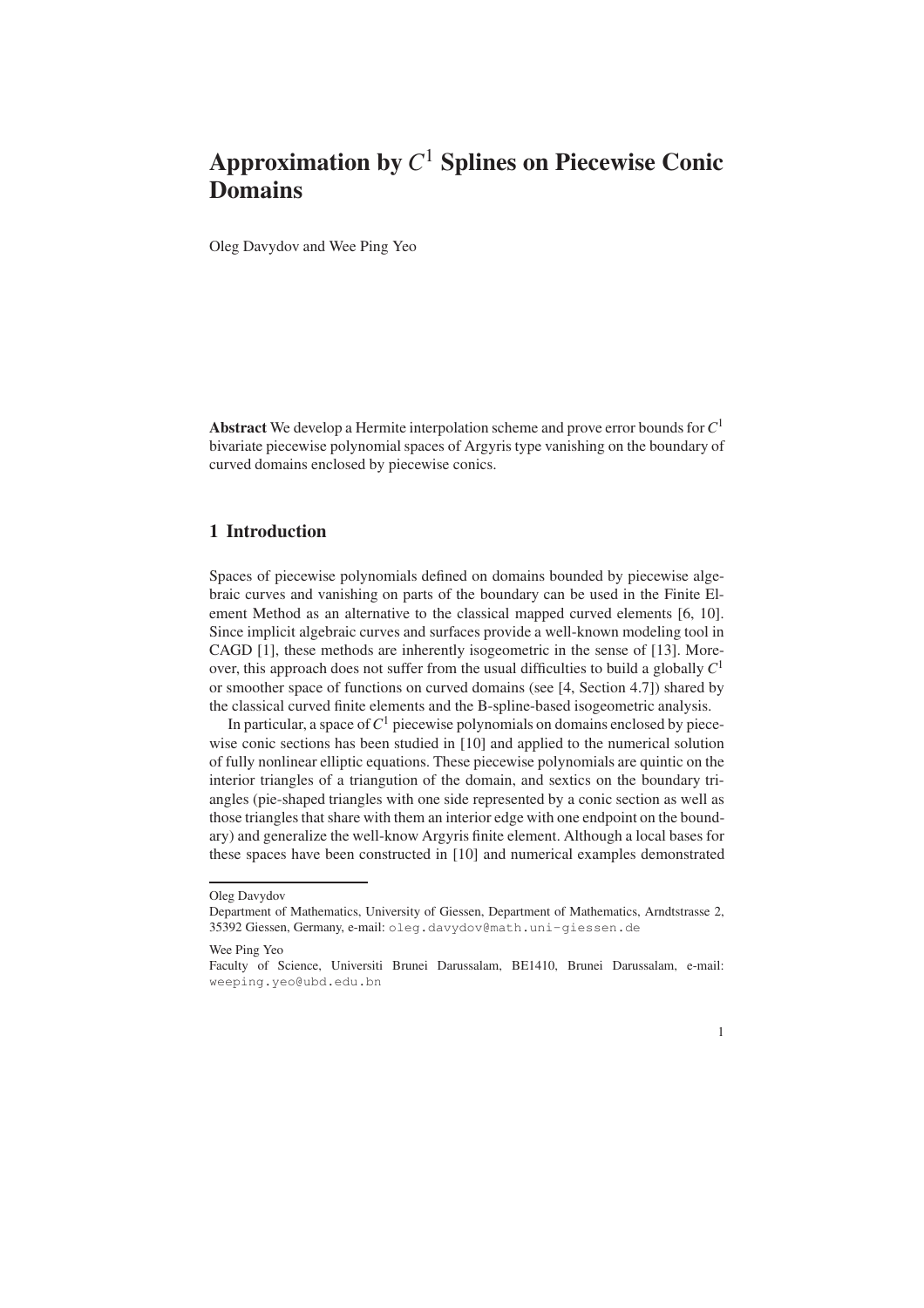Oleg Davydov and Wee Ping Yeo

Abstract We develop a Hermite interpolation scheme and prove error bounds for*C* 1 bivariate piecewise polynomial spaces of Argyris type vanishing on the boundary of curved domains enclosed by piecewise conics.

### 1 Introduction

Spaces of piecewise polynomials defined on domains bounded by piecewise algebraic curves and vanishing on parts of the boundary can be used in the Finite Element Method as an alternative to the classical mapped curved elements [6, 10]. Since implicit algebraic curves and surfaces provide a well-known modeling tool in CAGD [1], these methods are inherently isogeometric in the sense of [13]. Moreover, this approach does not suffer from the usual difficulties to build a globally *C* 1 or smoother space of functions on curved domains (see [4, Section 4.7]) shared by the classical curved finite elements and the B-spline-based isogeometric analysis.

In particular, a space of  $C^1$  piecewise polynomials on domains enclosed by piecewise conic sections has been studied in [10] and applied to the numerical solution of fully nonlinear elliptic equations. These piecewise polynomials are quintic on the interior triangles of a triangution of the domain, and sextics on the boundary triangles (pie-shaped triangles with one side represented by a conic section as well as those triangles that share with them an interior edge with one endpoint on the boundary) and generalize the well-know Argyris finite element. Although a local bases for these spaces have been constructed in [10] and numerical examples demonstrated

Faculty of Science, Universiti Brunei Darussalam, BE1410, Brunei Darussalam, e-mail: weeping.yeo@ubd.edu.bn



Oleg Davydov

Department of Mathematics, University of Giessen, Department of Mathematics, Arndtstrasse 2, 35392 Giessen, Germany, e-mail: oleg.davydov@math.uni-giessen.de

Wee Ping Yeo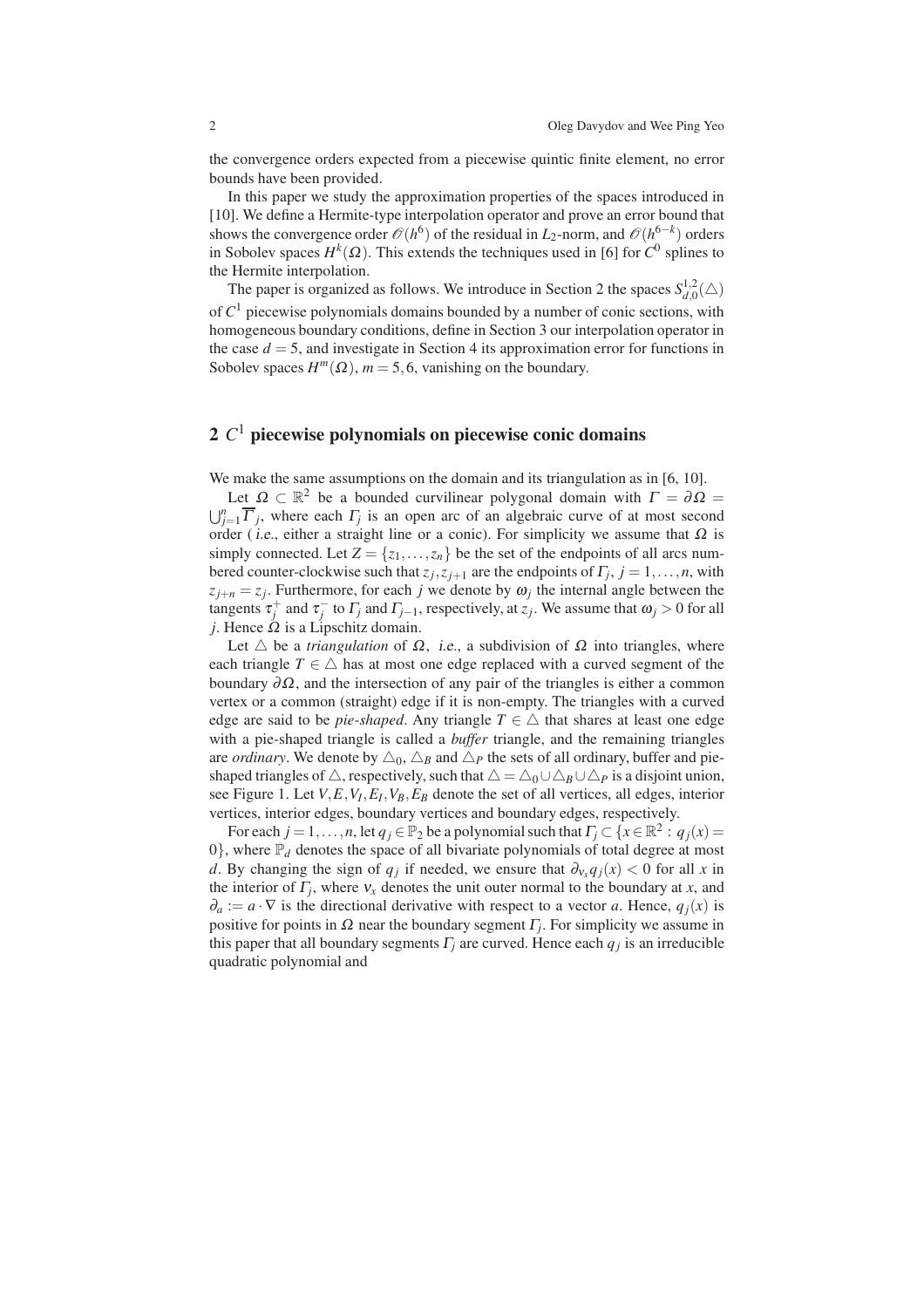the convergence orders expected from a piecewise quintic finite element, no error bounds have been provided.

In this paper we study the approximation properties of the spaces introduced in [10]. We define a Hermite-type interpolation operator and prove an error bound that shows the convergence order  $\mathcal{O}(h^6)$  of the residual in *L*<sub>2</sub>-norm, and  $\mathcal{O}(h^{6-k})$  orders in Sobolev spaces  $H^k(\Omega)$ . This extends the techniques used in [6] for  $C^0$  splines to the Hermite interpolation.

The paper is organized as follows. We introduce in Section 2 the spaces  $S_{d0}^{1,2}$  $_{d,0}^{1,2}(\triangle)$ of *C* <sup>1</sup> piecewise polynomials domains bounded by a number of conic sections, with homogeneous boundary conditions, define in Section 3 our interpolation operator in the case  $d = 5$ , and investigate in Section 4 its approximation error for functions in Sobolev spaces  $H^m(\Omega)$ ,  $m = 5, 6$ , vanishing on the boundary.

# 2 *C* <sup>1</sup> piecewise polynomials on piecewise conic domains

We make the same assumptions on the domain and its triangulation as in [6, 10].

Let  $\Omega \subset \mathbb{R}^2$  be a bounded curvilinear polygonal domain with  $\Gamma = \partial \Omega =$  $\bigcup_{j=1}^{n} \overline{\Gamma}_j$ , where each  $\Gamma_j$  is an open arc of an algebraic curve of at most second order (*i.e.*, either a straight line or a conic). For simplicity we assume that  $\Omega$  is simply connected. Let  $Z = \{z_1, \ldots, z_n\}$  be the set of the endpoints of all arcs numbered counter-clockwise such that  $z_j$ ,  $z_{j+1}$  are the endpoints of  $\Gamma_j$ ,  $j = 1, \ldots, n$ , with  $z_{j+n} = z_j$ . Furthermore, for each *j* we denote by  $\omega_j$  the internal angle between the tangents  $\tau_j^+$  and  $\tau_j^-$  to  $\Gamma_j$  and  $\Gamma_{j-1}$ , respectively, at  $z_j$ . We assume that  $\omega_j > 0$  for all *j*. Hence  $\Omega$  is a Lipschitz domain.

Let  $\triangle$  be a *triangulation* of  $\Omega$ , *i.e.*, a subdivision of  $\Omega$  into triangles, where each triangle  $T \in \triangle$  has at most one edge replaced with a curved segment of the boundary  $\partial\Omega$ , and the intersection of any pair of the triangles is either a common vertex or a common (straight) edge if it is non-empty. The triangles with a curved edge are said to be *pie-shaped*. Any triangle  $T \in \triangle$  that shares at least one edge with a pie-shaped triangle is called a *buffer* triangle, and the remaining triangles are *ordinary*. We denote by  $\triangle_0$ ,  $\triangle_B$  and  $\triangle_P$  the sets of all ordinary, buffer and pieshaped triangles of  $\triangle$ , respectively, such that  $\triangle = \triangle_0 \cup \triangle_B \cup \triangle_P$  is a disjoint union, see Figure 1. Let *V*,*E*,*V<sup>I</sup>* ,*E<sup>I</sup>* ,*VB*,*E<sup>B</sup>* denote the set of all vertices, all edges, interior vertices, interior edges, boundary vertices and boundary edges, respectively.

For each  $j = 1, ..., n$ , let  $q_j \in \mathbb{P}_2$  be a polynomial such that  $\Gamma_j \subset \{x \in \mathbb{R}^2 : q_j(x) = 0\}$  $0$ , where  $\mathbb{P}_d$  denotes the space of all bivariate polynomials of total degree at most *d*. By changing the sign of  $q_j$  if needed, we ensure that  $\partial_{v_x} q_j(x) < 0$  for all *x* in the interior of  $\Gamma_j$ , where  $v_x$  denotes the unit outer normal to the boundary at *x*, and  $\partial_a := a \cdot \nabla$  is the directional derivative with respect to a vector *a*. Hence,  $q_i(x)$  is positive for points in  $\Omega$  near the boundary segment  $\Gamma_j$ . For simplicity we assume in this paper that all boundary segments  $\Gamma_j$  are curved. Hence each  $q_j$  is an irreducible quadratic polynomial and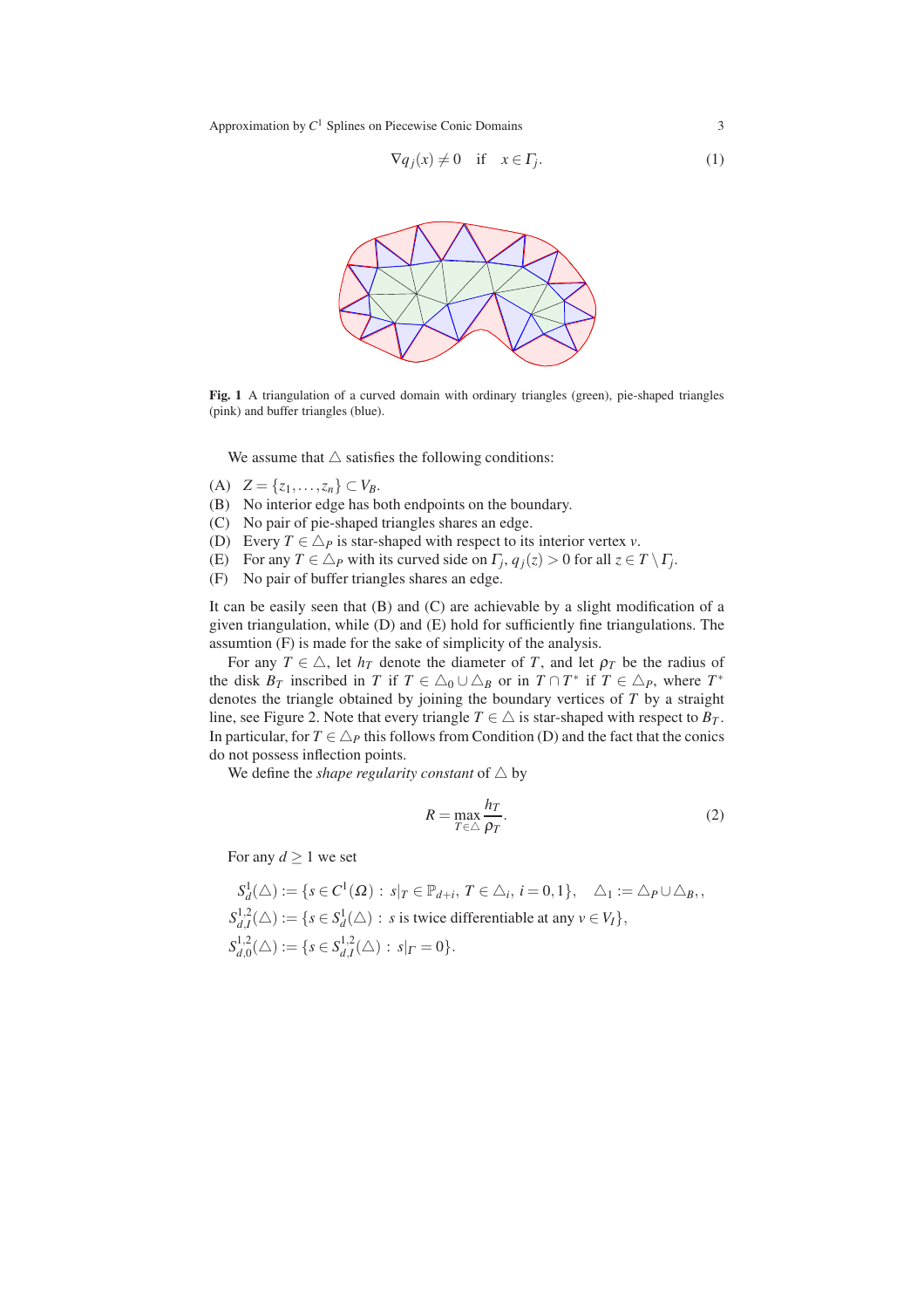$$
\nabla q_j(x) \neq 0 \quad \text{if} \quad x \in \Gamma_j. \tag{1}
$$



Fig. 1 A triangulation of a curved domain with ordinary triangles (green), pie-shaped triangles (pink) and buffer triangles (blue).

We assume that  $\triangle$  satisfies the following conditions:

- (A)  $Z = \{z_1, \ldots, z_n\} \subset V_B$ .
- (B) No interior edge has both endpoints on the boundary.
- (C) No pair of pie-shaped triangles shares an edge.
- (D) Every  $T \in \Delta_P$  is star-shaped with respect to its interior vertex *v*.
- (E) For any  $T \in \triangle_P$  with its curved side on  $\Gamma_j$ ,  $q_j(z) > 0$  for all  $z \in T \setminus \Gamma_j$ .
- (F) No pair of buffer triangles shares an edge.

It can be easily seen that (B) and (C) are achievable by a slight modification of a given triangulation, while (D) and (E) hold for sufficiently fine triangulations. The assumtion (F) is made for the sake of simplicity of the analysis.

For any  $T \in \triangle$ , let  $h_T$  denote the diameter of *T*, and let  $\rho_T$  be the radius of the disk  $B_T$  inscribed in *T* if  $T \in \triangle_0 \cup \triangle_B$  or in  $T \cap T^*$  if  $T \in \triangle_P$ , where  $T^*$ denotes the triangle obtained by joining the boundary vertices of *T* by a straight line, see Figure 2. Note that every triangle  $T \in \triangle$  is star-shaped with respect to  $B_T$ . In particular, for  $T \in \Delta_P$  this follows from Condition (D) and the fact that the conics do not possess inflection points.

We define the *shape regularity constant* of  $\triangle$  by

$$
R = \max_{T \in \triangle} \frac{h_T}{\rho_T}.\tag{2}
$$

For any  $d \geq 1$  we set

$$
S_d^1(\triangle) := \{ s \in C^1(\Omega) : s|_T \in \mathbb{P}_{d+i}, T \in \triangle_i, i = 0, 1 \}, \quad \triangle_1 := \triangle_P \cup \triangle_B,
$$
  
\n
$$
S_{d,I}^{1,2}(\triangle) := \{ s \in S_d^1(\triangle) : s \text{ is twice differentiable at any } v \in V_I \},
$$
  
\n
$$
S_{d,0}^{1,2}(\triangle) := \{ s \in S_{d,I}^{1,2}(\triangle) : s|_T = 0 \}.
$$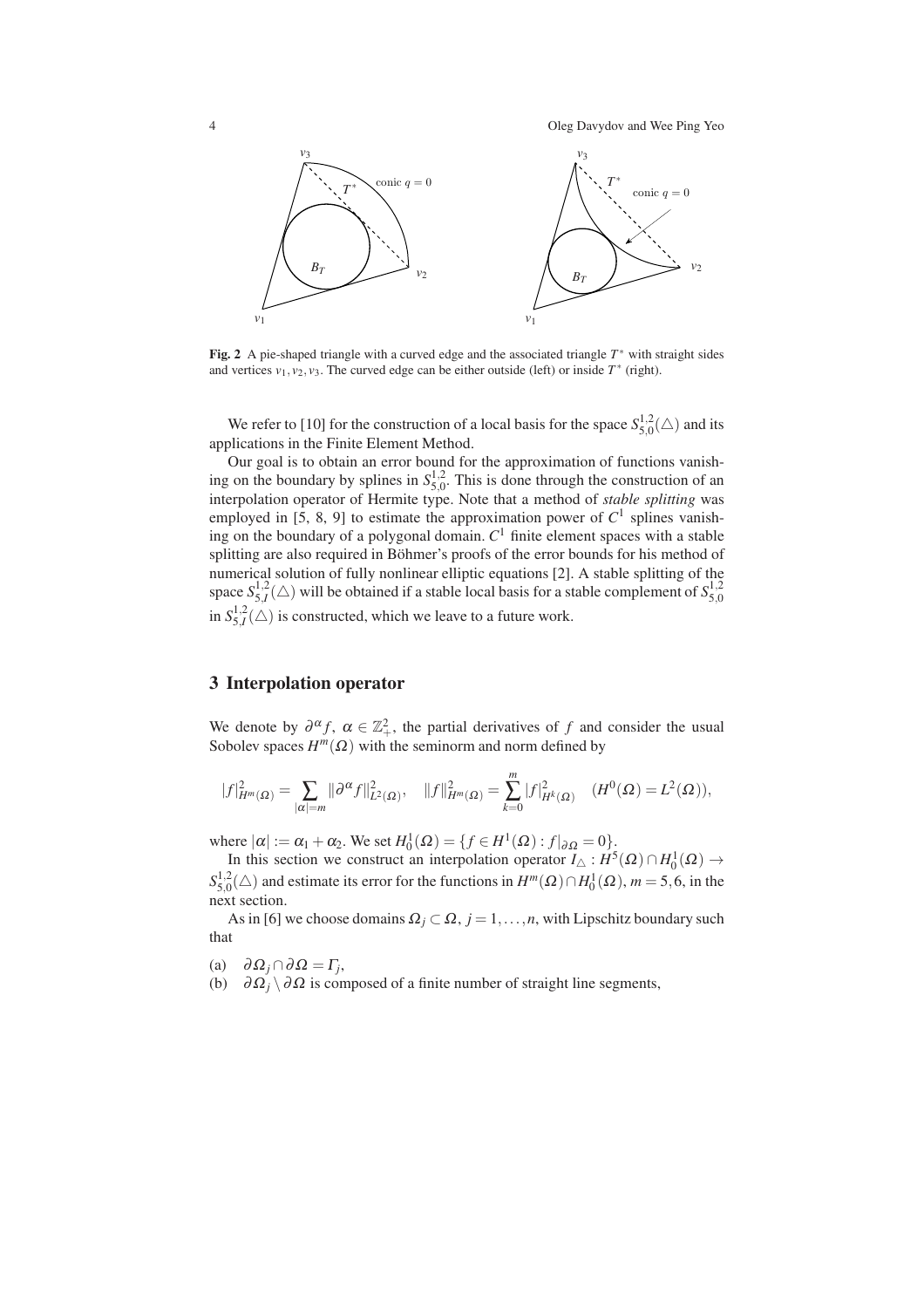4 Oleg Davydov and Wee Ping Yeo



Fig. 2 A pie-shaped triangle with a curved edge and the associated triangle *T* ∗ with straight sides and vertices  $v_1, v_2, v_3$ . The curved edge can be either outside (left) or inside  $T^*$  (right).

We refer to [10] for the construction of a local basis for the space  $S_{50}^{1,2}$  $_{5,0}^{1,2}(\triangle)$  and its applications in the Finite Element Method.

Our goal is to obtain an error bound for the approximation of functions vanishing on the boundary by splines in  $S_5^{1,2}$  $_{5,0}^{1,2}$ . This is done through the construction of an interpolation operator of Hermite type. Note that a method of *stable splitting* was employed in [5, 8, 9] to estimate the approximation power of  $C<sup>1</sup>$  splines vanishing on the boundary of a polygonal domain. *C* <sup>1</sup> finite element spaces with a stable splitting are also required in Böhmer's proofs of the error bounds for his method of numerical solution of fully nonlinear elliptic equations [2]. A stable splitting of the space  $S_{5,I}^{1,2}(\triangle)$  will be obtained if a stable local basis for a stable complement of  $S_{5,0}^{1,2}$ 5,0 in  $S_{5,I}^{1,2}(\triangle)$  is constructed, which we leave to a future work.

#### 3 Interpolation operator

We denote by  $\partial^{\alpha} f$ ,  $\alpha \in \mathbb{Z}_+^2$ , the partial derivatives of *f* and consider the usual Sobolev spaces  $H^m(\Omega)$  with the seminorm and norm defined by

$$
|f|_{H^m(\Omega)}^2 = \sum_{|\alpha|=m} ||\partial^{\alpha} f||^2_{L^2(\Omega)}, \quad ||f||^2_{H^m(\Omega)} = \sum_{k=0}^m |f|^2_{H^k(\Omega)} \quad (H^0(\Omega) = L^2(\Omega)),
$$

where  $|\alpha| := \alpha_1 + \alpha_2$ . We set  $H_0^1(\Omega) = \{ f \in H^1(\Omega) : f|_{\partial \Omega} = 0 \}$ .

In this section we construct an interpolation operator  $I_{\Delta}: H^{5}(\Omega) \cap H^{1}_{0}(\Omega) \rightarrow$  $S^{1,2}_{5,0}$ <sup>1,2</sup><sub>5,0</sub>(△) and estimate its error for the functions in  $H^m(\Omega) \cap H_0^1(\Omega)$ , *m* = 5,6, in the next section.

As in [6] we choose domains  $\Omega_j \subset \Omega$ ,  $j = 1, \ldots, n$ , with Lipschitz boundary such that

(a)  $\partial \Omega_j \cap \partial \Omega = \Gamma_j$ ,

(b)  $\partial \Omega_i \setminus \partial \Omega$  is composed of a finite number of straight line segments,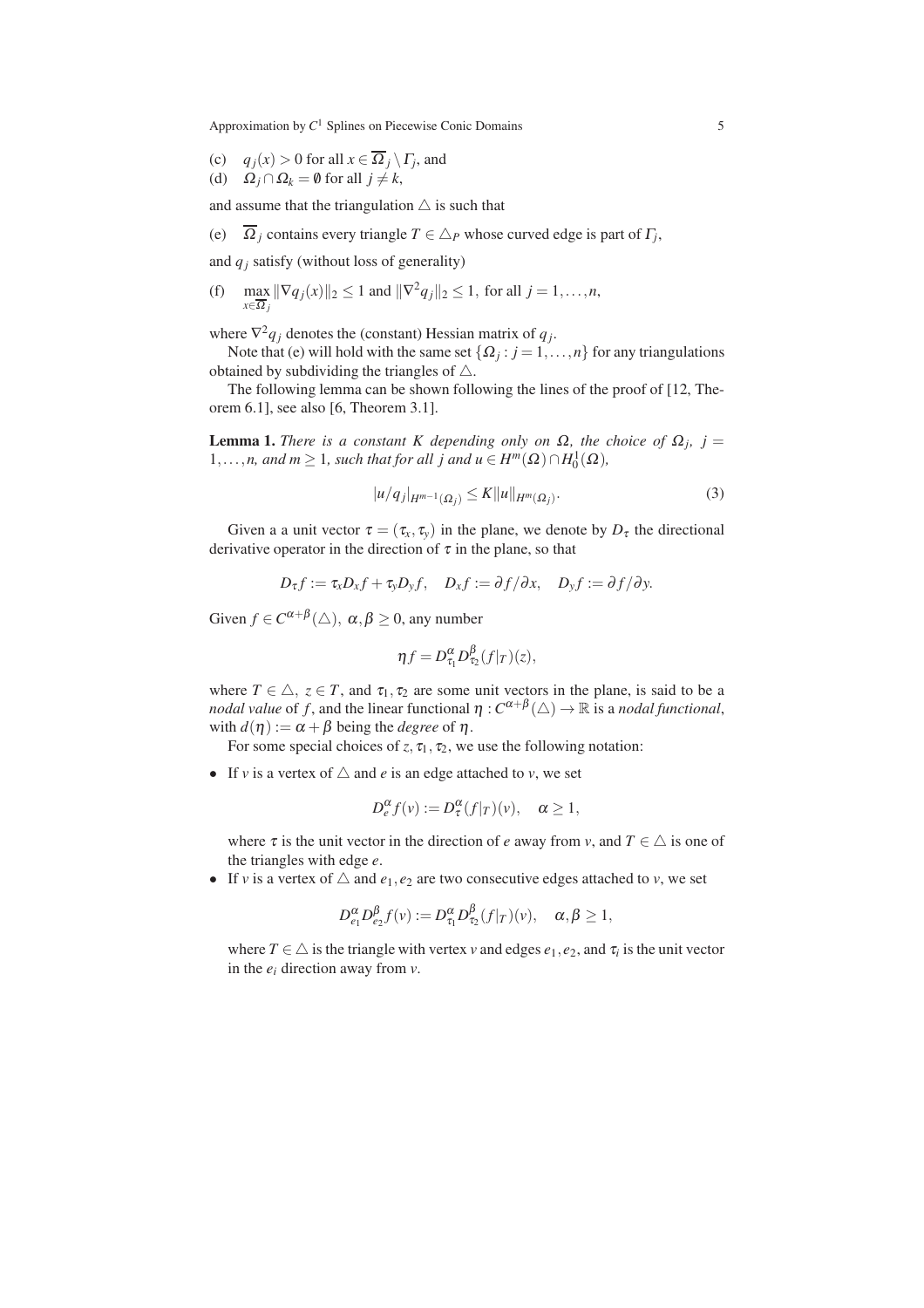- (c)  $q_j(x) > 0$  for all  $x \in \Omega_j \setminus \Gamma_j$ , and
- (d)  $\Omega_j \cap \Omega_k = \emptyset$  for all  $j \neq k$ ,

and assume that the triangulation  $\triangle$  is such that

(e)  $\Omega_j$  contains every triangle  $T \in \Delta_P$  whose curved edge is part of  $\Gamma_j$ ,

and  $q_i$  satisfy (without loss of generality)

 $(f)$  max  $\max_{x \in \overline{\Omega}_j} \|\nabla q_j(x)\|_2 \le 1$  and  $\|\nabla^2 q_j\|_2 \le 1$ , for all  $j = 1, ..., n$ ,

where  $\nabla^2 q_j$  denotes the (constant) Hessian matrix of  $q_j$ .

Note that (e) will hold with the same set  $\{\Omega_j : j = 1, ..., n\}$  for any triangulations obtained by subdividing the triangles of  $\triangle$ .

The following lemma can be shown following the lines of the proof of [12, Theorem 6.1], see also [6, Theorem 3.1].

**Lemma 1.** *There is a constant K depending only on*  $\Omega$ , *the choice of*  $\Omega$ <sub>*j*</sub>, *j* =  $1, \ldots, n$ , and  $m \ge 1$ , such that for all j and  $u \in H^m(\Omega) \cap H_0^1(\Omega)$ ,

$$
|u/q_j|_{H^{m-1}(\Omega_j)} \le K||u||_{H^m(\Omega_j)}.\tag{3}
$$

Given a a unit vector  $\tau = (\tau_x, \tau_y)$  in the plane, we denote by  $D_{\tau}$  the directional derivative operator in the direction of  $\tau$  in the plane, so that

$$
D_{\tau}f:=\tau_{x}D_{x}f+\tau_{y}D_{y}f,\quad D_{x}f:=\partial f/\partial x,\quad D_{y}f:=\partial f/\partial y.
$$

Given  $f \in C^{\alpha+\beta}(\triangle)$ ,  $\alpha, \beta \ge 0$ , any number

$$
\eta f = D_{\tau_1}^{\alpha} D_{\tau_2}^{\beta} (f|_T)(z),
$$

where  $T \in \triangle$ ,  $z \in T$ , and  $\tau_1, \tau_2$  are some unit vectors in the plane, is said to be a *nodal value* of *f*, and the linear functional  $\eta$  :  $C^{\alpha+\beta}(\triangle) \to \mathbb{R}$  is a *nodal functional*, with  $d(\eta) := \alpha + \beta$  being the *degree* of  $\eta$ .

For some special choices of  $z, \tau_1, \tau_2$ , we use the following notation:

• If *v* is a vertex of  $\triangle$  and *e* is an edge attached to *v*, we set

$$
D_e^{\alpha} f(v) := D_{\tau}^{\alpha} (f|r)(v), \quad \alpha \ge 1,
$$

where  $\tau$  is the unit vector in the direction of *e* away from *v*, and  $T \in \triangle$  is one of the triangles with edge *e*.

• If *v* is a vertex of  $\triangle$  and  $e_1, e_2$  are two consecutive edges attached to *v*, we set

$$
D_{e_1}^{\alpha}D_{e_2}^{\beta}f(v):=D_{\tau_1}^{\alpha}D_{\tau_2}^{\beta}(f|_{T})(v), \quad \alpha, \beta \geq 1,
$$

where  $T \in \triangle$  is the triangle with vertex *v* and edges  $e_1, e_2$ , and  $\tau_i$  is the unit vector in the *e<sup>i</sup>* direction away from *v*.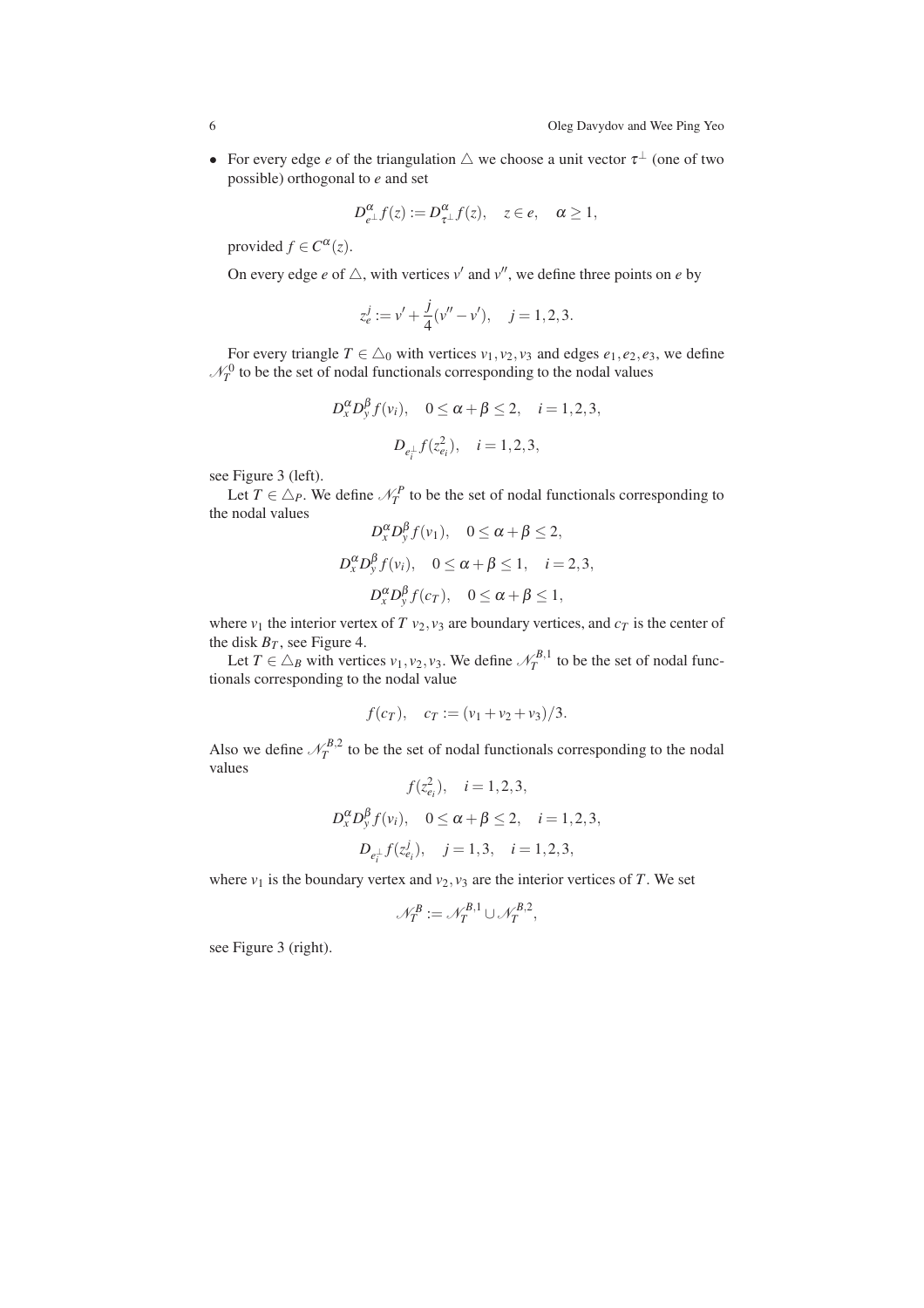• For every edge *e* of the triangulation  $\triangle$  we choose a unit vector  $\tau^{\perp}$  (one of two possible) orthogonal to *e* and set

$$
D_{e^{\perp}}^{\alpha} f(z) := D_{\tau}^{\alpha} f(z), \quad z \in e, \quad \alpha \ge 1,
$$

provided  $f \in C^{\alpha}(z)$ .

On every edge *e* of  $\triangle$ , with vertices  $v'$  and  $v''$ , we define three points on *e* by

$$
z_e^j := v' + \frac{j}{4}(v'' - v'), \quad j = 1, 2, 3.
$$

For every triangle  $T \in \Delta_0$  with vertices  $v_1, v_2, v_3$  and edges  $e_1, e_2, e_3$ , we define  $\mathcal{N}_T^0$  to be the set of nodal functionals corresponding to the nodal values

$$
D_x^{\alpha}D_y^{\beta}f(v_i), \quad 0 \le \alpha + \beta \le 2, \quad i = 1, 2, 3,
$$
  
 $D_{e_i^{\perp}}f(z_{e_i}^2), \quad i = 1, 2, 3,$ 

see Figure 3 (left).

Let  $T \in \Delta_P$ . We define  $\mathcal{N}_T^P$  to be the set of nodal functionals corresponding to the nodal values

$$
D_x^{\alpha} D_y^{\beta} f(v_1), \quad 0 \le \alpha + \beta \le 2,
$$
  
\n
$$
D_x^{\alpha} D_y^{\beta} f(v_i), \quad 0 \le \alpha + \beta \le 1, \quad i = 2, 3,
$$
  
\n
$$
D_x^{\alpha} D_y^{\beta} f(c_T), \quad 0 \le \alpha + \beta \le 1,
$$

where  $v_1$  the interior vertex of *T*  $v_2$ ,  $v_3$  are boundary vertices, and  $c_T$  is the center of the disk  $B_T$ , see Figure 4.

Let  $T \in \Delta_B$  with vertices  $v_1, v_2, v_3$ . We define  $\mathcal{N}_T^{B,1}$  to be the set of nodal functionals corresponding to the nodal value

$$
f(c_T)
$$
,  $c_T := (v_1 + v_2 + v_3)/3$ .

Also we define  $\mathcal{N}_T^{B,2}$  to be the set of nodal functionals corresponding to the nodal values

$$
f(z_{e_i}^2), \quad i = 1, 2, 3,
$$
  
\n
$$
D_x^{\alpha} D_y^{\beta} f(v_i), \quad 0 \le \alpha + \beta \le 2, \quad i = 1, 2, 3,
$$
  
\n
$$
D_{e_i^{\perp}} f(z_{e_i}^j), \quad j = 1, 3, \quad i = 1, 2, 3,
$$

where  $v_1$  is the boundary vertex and  $v_2$ ,  $v_3$  are the interior vertices of *T*. We set

$$
\mathcal{N}_T^B := \mathcal{N}_T^{B,1} \cup \mathcal{N}_T^{B,2},
$$

see Figure 3 (right).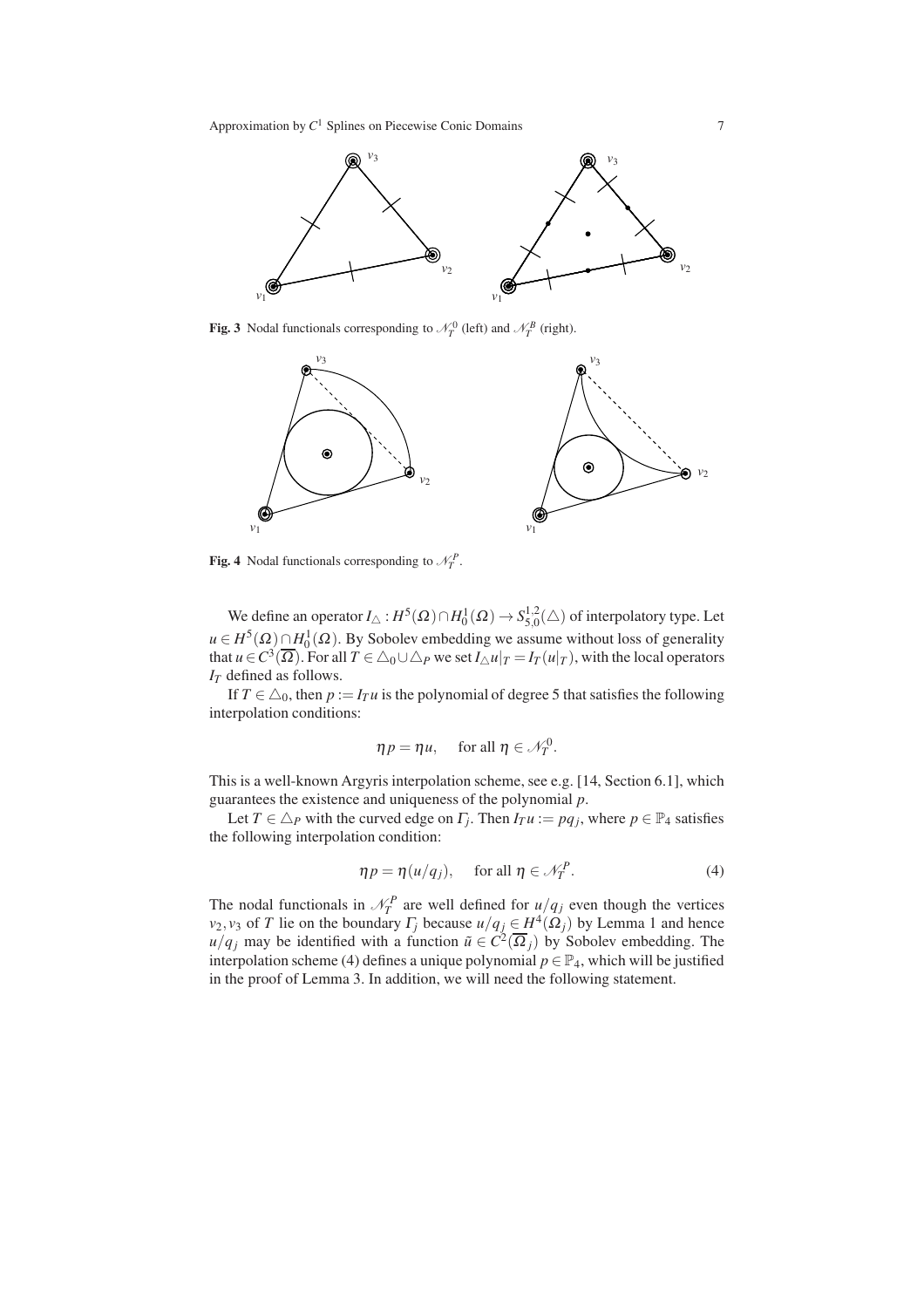

Fig. 3 Nodal functionals corresponding to  $\mathcal{N}_T^0$  (left) and  $\mathcal{N}_T^B$  (right).



Fig. 4 Nodal functionals corresponding to  $\mathcal{N}_T^P$ .

We define an operator  $I_{\triangle}$  :  $H^5(\Omega) \cap H_0^1(\Omega) \rightarrow S_{5,0}^{1,2}$  $_{5,0}^{1,2}(\triangle)$  of interpolatory type. Let  $u \in H^5(\Omega) \cap H_0^1(\Omega)$ . By Sobolev embedding we assume without loss of generality that  $u \in C^3(\overline{\Omega})$ . For all  $T \in \triangle_0 \cup \triangle_P$  we set  $I_\triangle u|_T = I_T(u|_T)$ , with the local operators *I<sup>T</sup>* defined as follows.

If  $T \in \triangle_0$ , then  $p := I_T u$  is the polynomial of degree 5 that satisfies the following interpolation conditions:

$$
\eta p = \eta u, \quad \text{ for all } \eta \in \mathcal{N}_T^0.
$$

This is a well-known Argyris interpolation scheme, see e.g. [14, Section 6.1], which guarantees the existence and uniqueness of the polynomial *p*.

Let  $T \in \triangle_P$  with the curved edge on  $\Gamma_j$ . Then  $I_T u := pq_j$ , where  $p \in \mathbb{P}_4$  satisfies the following interpolation condition:

$$
\eta p = \eta (u/q_j), \quad \text{ for all } \eta \in \mathcal{N}_T^P. \tag{4}
$$

The nodal functionals in  $\mathcal{N}_T^P$  are well defined for  $u/q_j$  even though the vertices *v*<sub>2</sub>, *v*<sub>3</sub> of *T* lie on the boundary  $\Gamma_j$  because  $u/q_j \in H^4(\Omega_j)$  by Lemma 1 and hence *u*/*q<sub>j</sub>* may be identified with a function  $\tilde{u} \in C^2(\overline{\Omega}_j)$  by Sobolev embedding. The interpolation scheme (4) defines a unique polynomial  $p \in \mathbb{P}_4$ , which will be justified in the proof of Lemma 3. In addition, we will need the following statement.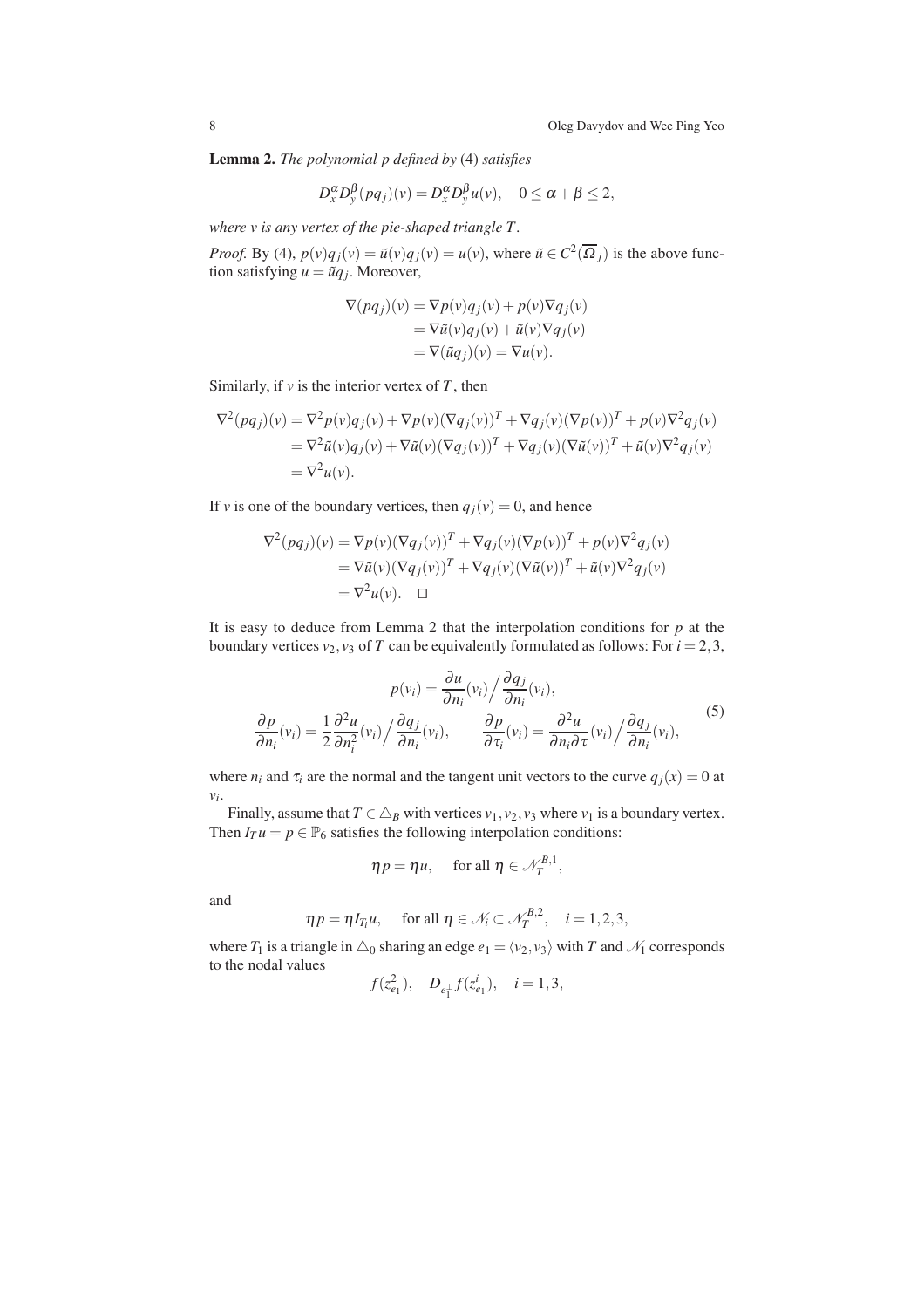Lemma 2. *The polynomial p defined by* (4) *satisfies*

$$
D_x^{\alpha}D_y^{\beta}(pq_j)(v) = D_x^{\alpha}D_y^{\beta}u(v), \quad 0 \leq \alpha + \beta \leq 2,
$$

*where v is any vertex of the pie-shaped triangle T .*

*Proof.* By (4),  $p(v)q_j(v) = \tilde{u}(v)q_j(v) = u(v)$ , where  $\tilde{u} \in C^2(\overline{\Omega}_j)$  is the above function satisfying  $u = \tilde{u}q_j$ . Moreover,

$$
\nabla(pq_j)(v) = \nabla p(v)q_j(v) + p(v)\nabla q_j(v)
$$
  
= 
$$
\nabla \tilde{u}(v)q_j(v) + \tilde{u}(v)\nabla q_j(v)
$$
  
= 
$$
\nabla(\tilde{u}q_j)(v) = \nabla u(v).
$$

Similarly, if  $\nu$  is the interior vertex of  $T$ , then

$$
\nabla^2 (pq_j)(v) = \nabla^2 p(v)q_j(v) + \nabla p(v)(\nabla q_j(v))^T + \nabla q_j(v)(\nabla p(v))^T + p(v)\nabla^2 q_j(v)
$$
  
=\n
$$
\nabla^2 \tilde{u}(v)q_j(v) + \nabla \tilde{u}(v)(\nabla q_j(v))^T + \nabla q_j(v)(\nabla \tilde{u}(v))^T + \tilde{u}(v)\nabla^2 q_j(v)
$$
  
=\n
$$
\nabla^2 u(v).
$$

If *v* is one of the boundary vertices, then  $q_j(v) = 0$ , and hence

$$
\nabla^2 (pq_j)(v) = \nabla p(v)(\nabla q_j(v))^T + \nabla q_j(v)(\nabla p(v))^T + p(v)\nabla^2 q_j(v)
$$
  
= 
$$
\nabla \tilde{u}(v)(\nabla q_j(v))^T + \nabla q_j(v)(\nabla \tilde{u}(v))^T + \tilde{u}(v)\nabla^2 q_j(v)
$$
  
= 
$$
\nabla^2 u(v).
$$

It is easy to deduce from Lemma 2 that the interpolation conditions for  $p$  at the boundary vertices  $v_2$ ,  $v_3$  of *T* can be equivalently formulated as follows: For  $i = 2, 3$ ,

$$
p(v_i) = \frac{\partial u}{\partial n_i}(v_i) / \frac{\partial q_j}{\partial n_i}(v_i),
$$
  
\n
$$
\frac{\partial p}{\partial n_i}(v_i) = \frac{1}{2} \frac{\partial^2 u}{\partial n_i^2}(v_i) / \frac{\partial q_j}{\partial n_i}(v_i),
$$
\n
$$
\frac{\partial p}{\partial \tau_i}(v_i) = \frac{\partial^2 u}{\partial n_i \partial \tau}(v_i) / \frac{\partial q_j}{\partial n_i}(v_i),
$$
\n(5)

where  $n_i$  and  $\tau_i$  are the normal and the tangent unit vectors to the curve  $q_i(x) = 0$  at *vi* .

Finally, assume that  $T \in \Delta_B$  with vertices  $v_1, v_2, v_3$  where  $v_1$  is a boundary vertex. Then  $I_T u = p \in \mathbb{P}_6$  satisfies the following interpolation conditions:

$$
\eta p = \eta u, \quad \text{ for all } \eta \in \mathcal{N}_T^{B,1},
$$

and

$$
\eta p = \eta I_{T_i} u
$$
, for all  $\eta \in \mathcal{N}_i \subset \mathcal{N}_T^{B,2}$ ,  $i = 1, 2, 3$ ,

where  $T_1$  is a triangle in  $\triangle_0$  sharing an edge  $e_1 = \langle v_2, v_3 \rangle$  with  $T$  and  $\mathcal{N}_1$  corresponds to the nodal values  $\overline{a}$ 

$$
f(z_{e_1}^2)
$$
,  $D_{e_1^{\perp}}f(z_{e_1}^i)$ ,  $i = 1, 3$ ,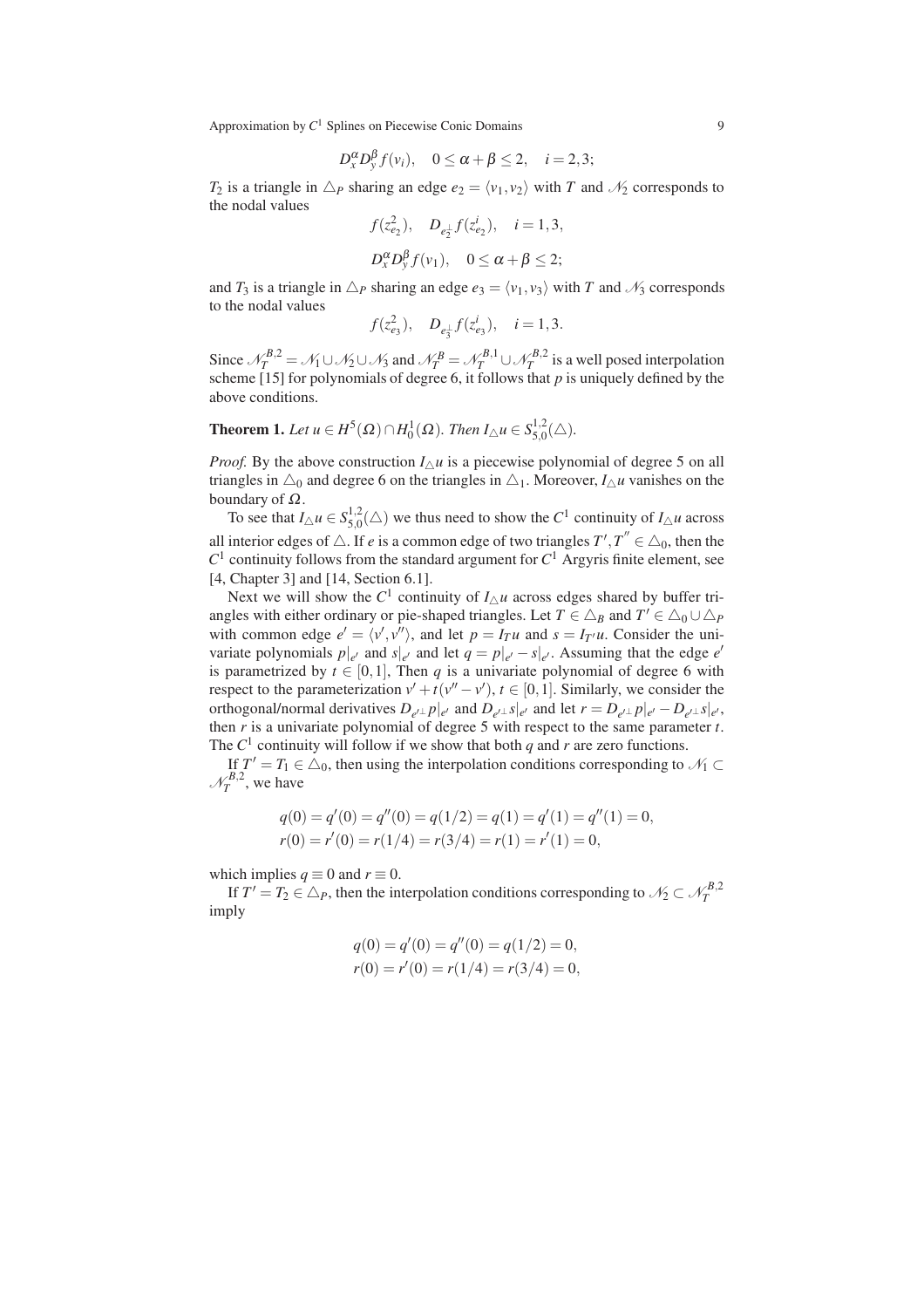$$
D_x^{\alpha}D_y^{\beta}f(v_i), \quad 0 \leq \alpha + \beta \leq 2, \quad i = 2, 3;
$$

*T*<sub>2</sub> is a triangle in  $\Delta P$  sharing an edge  $e_2 = \langle v_1, v_2 \rangle$  with *T* and  $\mathcal{N}_2$  corresponds to the nodal values

$$
f(z_{e_2}^2)
$$
,  $D_{e_2^{\perp}}f(z_{e_2}^i)$ ,  $i = 1, 3$ ,  
 $D_x^{\alpha}D_y^{\beta}f(v_1)$ ,  $0 \le \alpha + \beta \le 2$ ;

and  $T_3$  is a triangle in  $\Delta_P$  sharing an edge  $e_3 = \langle v_1, v_3 \rangle$  with *T* and  $\mathcal{N}_3$  corresponds to the nodal values

$$
f(z_{e_3}^2)
$$
,  $D_{e_3^{\perp}}f(z_{e_3}^i)$ ,  $i = 1, 3$ .

Since  $\mathcal{N}_T^{B,2} = \mathcal{N}_1 \cup \mathcal{N}_2 \cup \mathcal{N}_3$  and  $\mathcal{N}_T^{B} = \mathcal{N}_T^{B,1} \cup \mathcal{N}_T^{B,2}$  is a well posed interpolation scheme [15] for polynomials of degree 6, it follows that *p* is uniquely defined by the above conditions.

**Theorem 1.** Let 
$$
u \in H^5(\Omega) \cap H_0^1(\Omega)
$$
. Then  $I_\Delta u \in S_{5,0}^{1,2}(\triangle)$ .

*Proof.* By the above construction  $I_{\wedge} u$  is a piecewise polynomial of degree 5 on all triangles in  $\triangle_0$  and degree 6 on the triangles in  $\triangle_1$ . Moreover,  $I_{\triangle}u$  vanishes on the boundary of  $Ω$ .

To see that  $I_{\triangle}u \in S_{5,0}^{1,2}$  $\frac{1}{5,0}(\triangle)$  we thus need to show the  $C^1$  continuity of  $I_{\triangle} u$  across all interior edges of  $\triangle$ . If *e* is a common edge of two triangles  $T', T'' \in \triangle_0$ , then the  $C<sup>1</sup>$  continuity follows from the standard argument for  $C<sup>1</sup>$  Argyris finite element, see [4, Chapter 3] and [14, Section 6.1].

Next we will show the  $C^1$  continuity of  $I_{\Delta}u$  across edges shared by buffer triangles with either ordinary or pie-shaped triangles. Let  $T \in \Delta_B$  and  $T' \in \Delta_0 \cup \Delta_P$ with common edge  $e' = \langle v', v'' \rangle$ , and let  $p = I_T u$  and  $s = I_{T'} u$ . Consider the univariate polynomials  $p|_{e'}$  and  $s|_{e'}$  and let  $q = p|_{e'} - s|_{e'}$ . Assuming that the edge  $e'$ is parametrized by  $t \in [0,1]$ , Then q is a univariate polynomial of degree 6 with respect to the parameterization  $v' + t(v'' - v')$ ,  $t \in [0, 1]$ . Similarly, we consider the orthogonal/normal derivatives  $D_{e' \perp} p|_{e'}$  and  $D_{e' \perp} s|_{e'}$  and let  $r = D_{e' \perp} p|_{e'} - D_{e' \perp} s|_{e'},$ then *r* is a univariate polynomial of degree 5 with respect to the same parameter *t*. The  $C^1$  continuity will follow if we show that both *q* and *r* are zero functions.

If  $T' = T_1 \in \Delta_0$ , then using the interpolation conditions corresponding to  $\mathcal{N}_1 \subset$  $\mathcal{N}_T^{B,2}$ , we have

$$
q(0) = q'(0) = q''(0) = q(1/2) = q(1) = q'(1) = q''(1) = 0,
$$
  
\n
$$
r(0) = r'(0) = r(1/4) = r(3/4) = r(1) = r'(1) = 0,
$$

which implies  $q \equiv 0$  and  $r \equiv 0$ .

If  $T' = T_2 \in \triangle_P$ , then the interpolation conditions corresponding to  $\mathcal{N}_2 \subset \mathcal{N}_T^{B,2}$ imply

$$
q(0) = q'(0) = q''(0) = q(1/2) = 0,
$$
  
\n
$$
r(0) = r'(0) = r(1/4) = r(3/4) = 0,
$$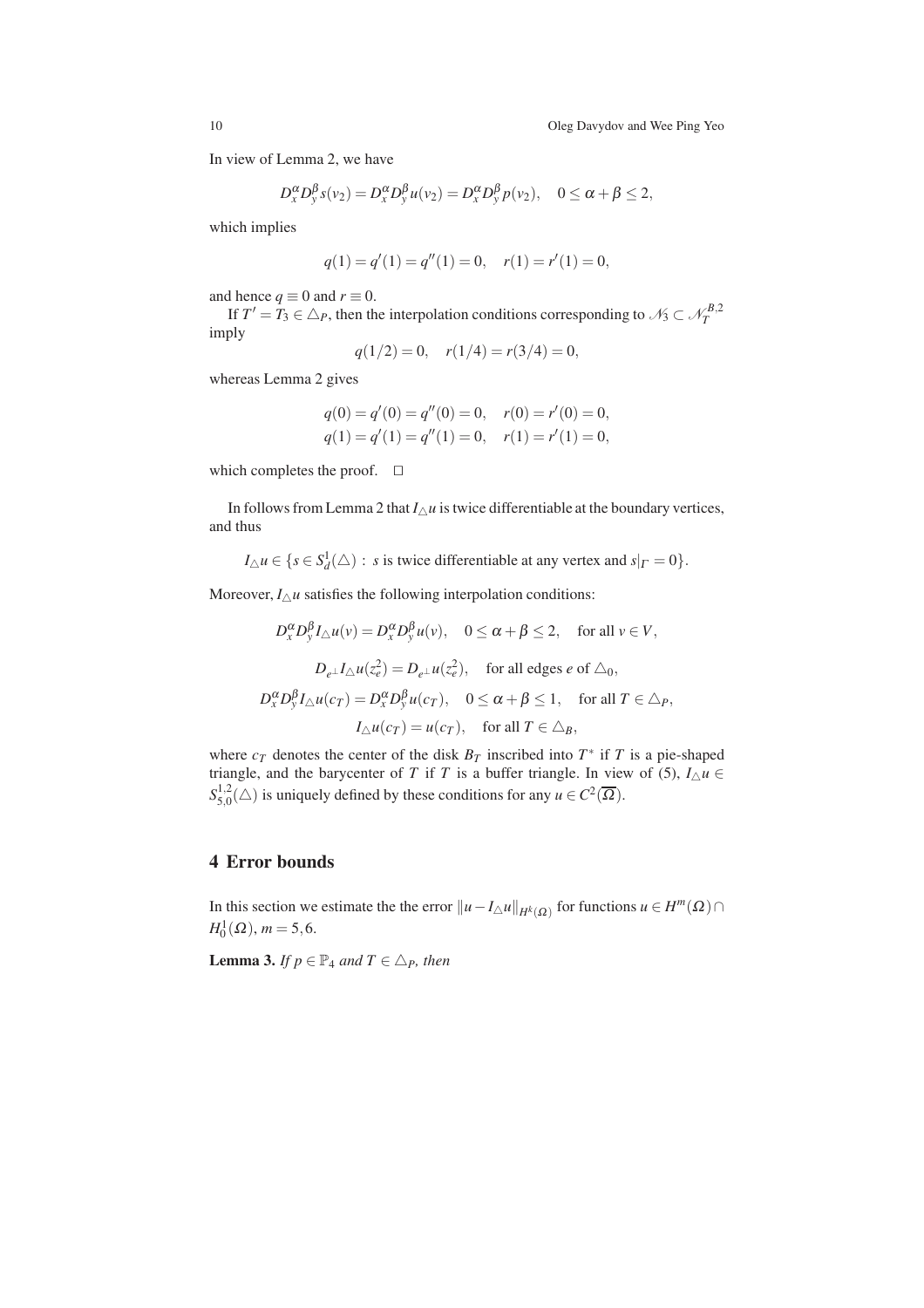In view of Lemma 2, we have

$$
D_x^{\alpha}D_y^{\beta}s(v_2) = D_x^{\alpha}D_y^{\beta}u(v_2) = D_x^{\alpha}D_y^{\beta}p(v_2), \quad 0 \leq \alpha + \beta \leq 2,
$$

which implies

$$
q(1) = q'(1) = q''(1) = 0, \quad r(1) = r'(1) = 0,
$$

and hence  $q \equiv 0$  and  $r \equiv 0$ .

If  $T' = T_3 \in \triangle_P$ , then the interpolation conditions corresponding to  $\mathcal{N}_3 \subset \mathcal{N}_T^{B,2}$ imply

$$
q(1/2) = 0, \quad r(1/4) = r(3/4) = 0,
$$

whereas Lemma 2 gives

$$
q(0) = q'(0) = q''(0) = 0, \quad r(0) = r'(0) = 0,
$$
  

$$
q(1) = q'(1) = q''(1) = 0, \quad r(1) = r'(1) = 0,
$$

which completes the proof. ⊓⊔

In follows from Lemma 2 that  $I_{\Delta}u$  is twice differentiable at the boundary vertices, and thus

 $I_{\triangle} u \in \{s \in S_d^1(\triangle) : s \text{ is twice differentiable at any vertex and } s|_{\Gamma} = 0\}.$ 

Moreover,  $I_{\Delta}u$  satisfies the following interpolation conditions:

$$
D_x^{\alpha} D_y^{\beta} I_{\triangle} u(v) = D_x^{\alpha} D_y^{\beta} u(v), \quad 0 \le \alpha + \beta \le 2, \quad \text{for all } v \in V,
$$
  

$$
D_{e^{\perp}} I_{\triangle} u(z_e^2) = D_{e^{\perp}} u(z_e^2), \quad \text{for all edges } e \text{ of } \triangle_0,
$$
  

$$
D_x^{\alpha} D_y^{\beta} I_{\triangle} u(c_T) = D_x^{\alpha} D_y^{\beta} u(c_T), \quad 0 \le \alpha + \beta \le 1, \quad \text{for all } T \in \triangle_P,
$$
  

$$
I_{\triangle} u(c_T) = u(c_T), \quad \text{for all } T \in \triangle_B,
$$

where  $c_T$  denotes the center of the disk  $B_T$  inscribed into  $T^*$  if  $T$  is a pie-shaped triangle, and the barycenter of *T* if *T* is a buffer triangle. In view of (5),  $I_{\Delta} u \in$  $S^{1,2}_{5,0}$  $\frac{1}{5,0}(\triangle)$  is uniquely defined by these conditions for any  $u \in C^2(\overline{\Omega})$ .

# 4 Error bounds

In this section we estimate the the error  $||u - I_{\Delta}u||_{H^k(\Omega)}$  for functions  $u \in H^m(\Omega) \cap$  $H_0^1(\Omega)$ ,  $m = 5, 6$ .

**Lemma 3.** *If*  $p \in \mathbb{P}_4$  *and*  $T \in \Delta_p$ *, then*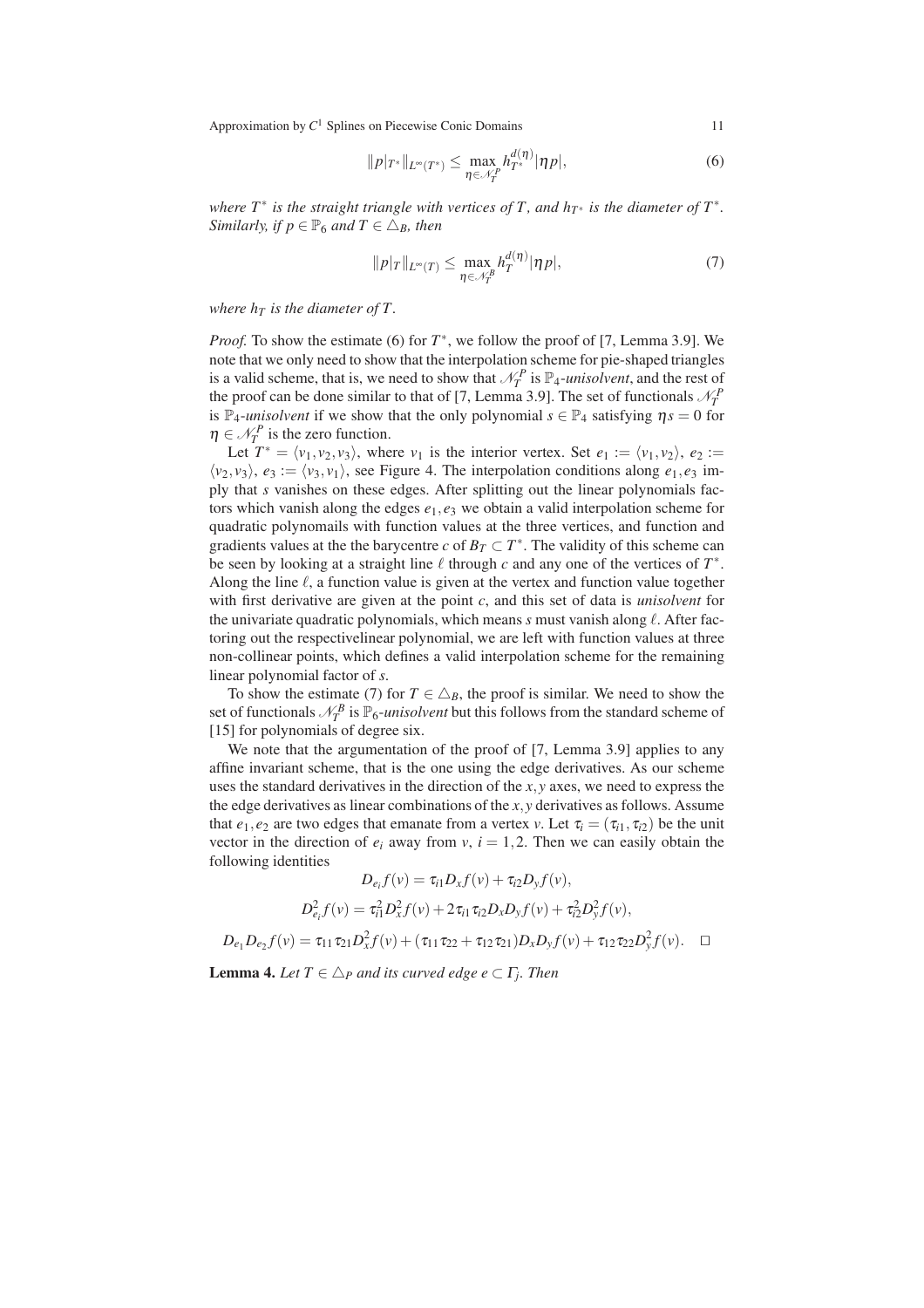$$
||p|_{T^*}||_{L^{\infty}(T^*)} \leq \max_{\eta \in \mathcal{N}_T} h_{T^*}^{d(\eta)} |\eta p|,
$$
\n(6)

*where T*∗ *is the straight triangle with vertices of T , and hT*<sup>∗</sup> *is the diameter of T*<sup>∗</sup> *. Similarly, if*  $p \in \mathbb{P}_6$  *and*  $T \in \Delta_B$ *, then* 

$$
||p|_T||_{L^{\infty}(T)} \leq \max_{\eta \in \mathcal{N}_T^B} h_T^{d(\eta)}|\eta p|,
$$
\n(7)

*where*  $h<sub>T</sub>$  *is the diameter of T.* 

*Proof.* To show the estimate (6) for  $T^*$ , we follow the proof of [7, Lemma 3.9]. We note that we only need to show that the interpolation scheme for pie-shaped triangles is a valid scheme, that is, we need to show that  $\mathcal{N}_T^P$  is  $\mathbb{P}_4$ *-unisolvent*, and the rest of the proof can be done similar to that of [7, Lemma 3.9]. The set of functionals  $\mathcal{N}_T^P$ is  $\mathbb{P}_4$ -*unisolvent* if we show that the only polynomial  $s \in \mathbb{P}_4$  satisfying  $\eta s = 0$  for  $\eta \in \mathcal{N}_T^P$  is the zero function.

Let  $T^* = \langle v_1, v_2, v_3 \rangle$ , where  $v_1$  is the interior vertex. Set  $e_1 := \langle v_1, v_2 \rangle$ ,  $e_2 :=$  $\langle v_2, v_3 \rangle$ ,  $e_3 := \langle v_3, v_1 \rangle$ , see Figure 4. The interpolation conditions along  $e_1, e_3$  imply that *s* vanishes on these edges. After splitting out the linear polynomials factors which vanish along the edges *e*1,*e*<sup>3</sup> we obtain a valid interpolation scheme for quadratic polynomails with function values at the three vertices, and function and gradients values at the the barycentre *c* of  $B_T \subset T^*$ . The validity of this scheme can be seen by looking at a straight line  $\ell$  through  $c$  and any one of the vertices of  $T^*$ . Along the line  $\ell$ , a function value is given at the vertex and function value together with first derivative are given at the point *c*, and this set of data is *unisolvent* for the univariate quadratic polynomials, which means *s* must vanish along ℓ. After factoring out the respectivelinear polynomial, we are left with function values at three non-collinear points, which defines a valid interpolation scheme for the remaining linear polynomial factor of *s*.

To show the estimate (7) for  $T \in \Delta_B$ , the proof is similar. We need to show the set of functionals  $\mathcal{N}_T^B$  is  $\mathbb{P}_6$ -*unisolvent* but this follows from the standard scheme of [15] for polynomials of degree six.

We note that the argumentation of the proof of [7, Lemma 3.9] applies to any affine invariant scheme, that is the one using the edge derivatives. As our scheme uses the standard derivatives in the direction of the *x*,*y* axes, we need to express the the edge derivatives as linear combinations of the *x*,*y* derivatives as follows. Assume that  $e_1, e_2$  are two edges that emanate from a vertex *v*. Let  $\tau_i = (\tau_{i1}, \tau_{i2})$  be the unit vector in the direction of  $e_i$  away from  $v$ ,  $i = 1, 2$ . Then we can easily obtain the following identities

$$
D_{e_i}f(v) = \tau_{i1}D_xf(v) + \tau_{i2}D_yf(v),
$$
  
\n
$$
D_{e_i}^2f(v) = \tau_{i1}^2D_x^2f(v) + 2\tau_{i1}\tau_{i2}D_xD_yf(v) + \tau_{i2}^2D_y^2f(v),
$$
  
\n
$$
D_{e_1}D_{e_2}f(v) = \tau_{11}\tau_{21}D_x^2f(v) + (\tau_{11}\tau_{22} + \tau_{12}\tau_{21})D_xD_yf(v) + \tau_{12}\tau_{22}D_y^2f(v).
$$

**Lemma 4.** Let  $T \in \triangle_P$  and its curved edge  $e \subset \Gamma_j$ . Then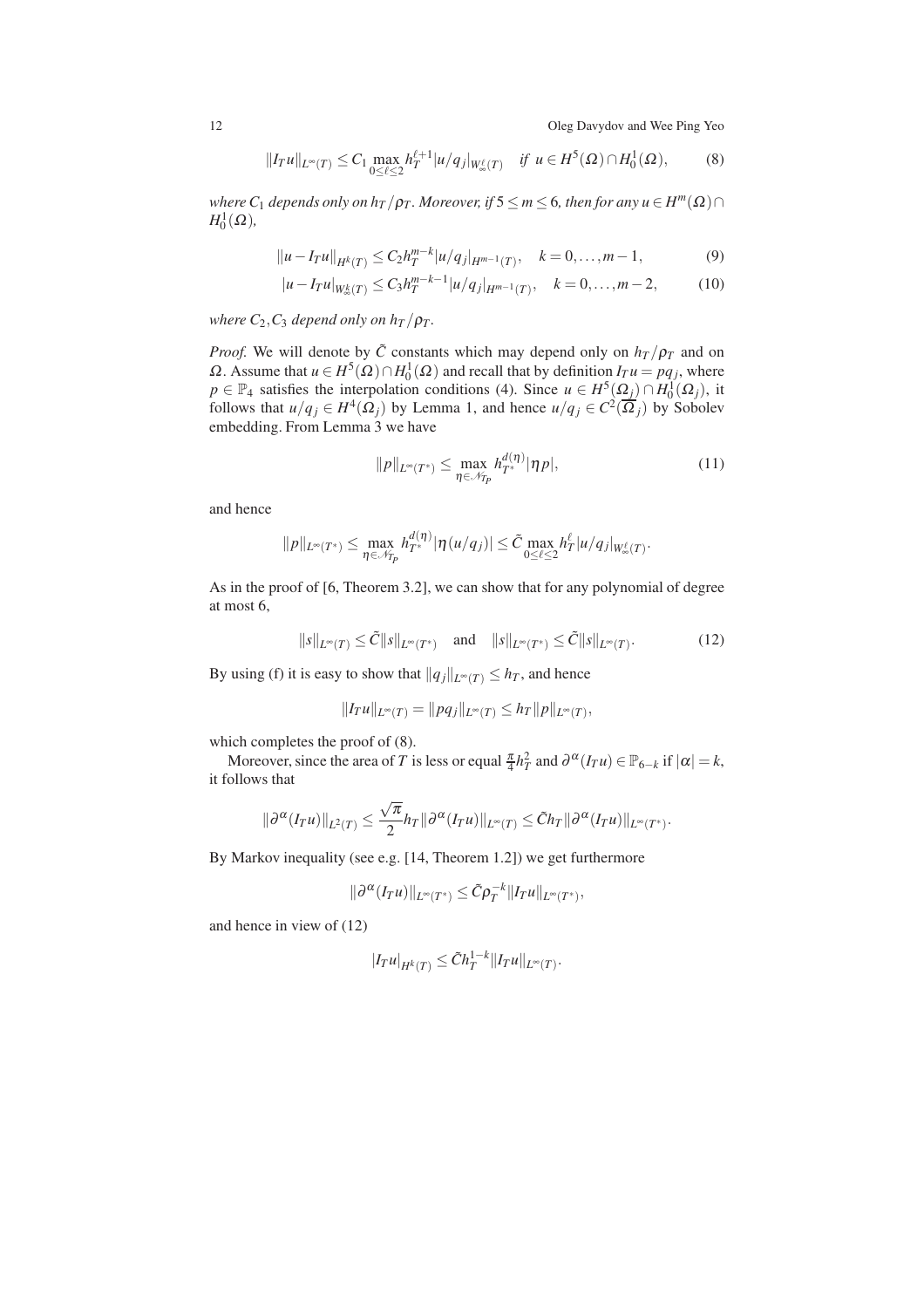12 Oleg Davydov and Wee Ping Yeo

.

$$
||I_{T}u||_{L^{\infty}(T)} \leq C_{1} \max_{0 \leq \ell \leq 2} h_{T}^{\ell+1} |u/q_{j}|_{W_{\infty}^{\ell}(T)} \quad \text{if } u \in H^{5}(\Omega) \cap H_{0}^{1}(\Omega), \tag{8}
$$

*where*  $C_1$  *depends only on h<sub>T</sub>* / $\rho_T$ *. Moreover, if*  $5 \le m \le 6$ *, then for any*  $u \in H^m(\Omega) \cap$  $H_0^1(\Omega)$ ,

$$
||u - I_T u||_{H^k(T)} \le C_2 h_T^{m-k} |u/q_j|_{H^{m-1}(T)}, \quad k = 0, \dots, m-1,
$$
 (9)

$$
|u - I_T u|_{W^k_{\infty}(T)} \le C_3 h_T^{m-k-1} |u/q_j|_{H^{m-1}(T)}, \quad k = 0, \dots, m-2,
$$
 (10)

*where*  $C_2$ *,* $C_3$  *depend only on h<sub><i>T*</sub> / $\rho_T$ *.* 

*Proof.* We will denote by  $\tilde{C}$  constants which may depend only on  $h_T/p_T$  and on Ω. Assume that *u* ∈ *H*<sup>5</sup>(Ω)∩*H*<sub>0</sub><sup>1</sup>(Ω) and recall that by definition *I<sub>T</sub>u* = *pq<sub>j</sub>*, where  $p \in \mathbb{P}_4$  satisfies the interpolation conditions (4). Since  $u \in H^5(\Omega) \cap H_0^1(\Omega)$ , it follows that  $u/q_j \in H^4(\Omega_j)$  by Lemma 1, and hence  $u/q_j \in C^2(\overline{\Omega_j})$  by Sobolev embedding. From Lemma 3 we have

$$
||p||_{L^{\infty}(T^{*})} \leq \max_{\eta \in \mathcal{N}_{P}} h_{T^{*}}^{d(\eta)} |\eta p|,
$$
\n(11)

and hence

$$
||p||_{L^{\infty}(T^*)} \leq \max_{\eta \in \mathcal{N}_{T_p}} h_T^{d(\eta)} |\eta(u/q_j)| \leq \tilde{C} \max_{0 \leq \ell \leq 2} h_T^{\ell} |u/q_j|_{W_{\infty}^{\ell}(T)}
$$

As in the proof of [6, Theorem 3.2], we can show that for any polynomial of degree at most 6,

$$
||s||_{L^{\infty}(T)} \leq \tilde{C}||s||_{L^{\infty}(T^{*})} \quad \text{and} \quad ||s||_{L^{\infty}(T^{*})} \leq \tilde{C}||s||_{L^{\infty}(T)}.
$$
 (12)

By using (f) it is easy to show that  $||q_j||_{L^{\infty}(T)} \leq h_T$ , and hence

$$
||I_T u||_{L^{\infty}(T)} = ||pq_j||_{L^{\infty}(T)} \leq h_T ||p||_{L^{\infty}(T)},
$$

which completes the proof of (8).

Moreover, since the area of *T* is less or equal  $\frac{\pi}{4}h_T^2$  and  $\partial^\alpha(I_T u) \in \mathbb{P}_{6-k}$  if  $|\alpha| = k$ , it follows that

$$
\|\partial^{\alpha}(I_T u)\|_{L^2(T)} \leq \frac{\sqrt{\pi}}{2} h_T \|\partial^{\alpha}(I_T u)\|_{L^{\infty}(T)} \leq \tilde{C} h_T \|\partial^{\alpha}(I_T u)\|_{L^{\infty}(T^*)}.
$$

By Markov inequality (see e.g. [14, Theorem 1.2]) we get furthermore

$$
\|\partial^{\alpha}(I_T u)\|_{L^{\infty}(T^*)}\leq \tilde{C}\rho_T^{-k}\|I_T u\|_{L^{\infty}(T^*)},
$$

and hence in view of (12)

$$
|I_T u|_{H^k(T)} \leq \tilde{C} h_T^{1-k} ||I_T u||_{L^\infty(T)}.
$$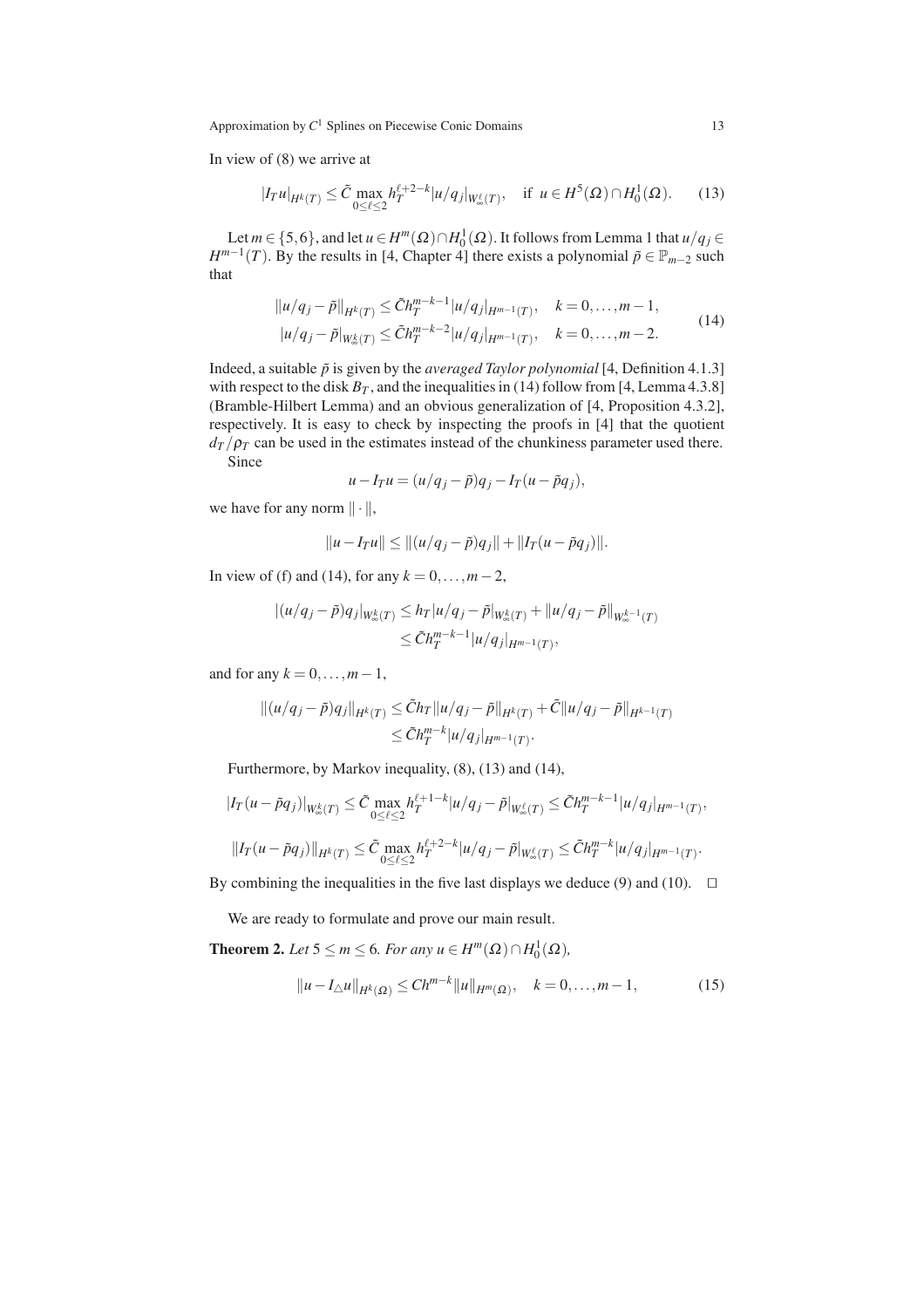In view of (8) we arrive at

$$
|I_T u|_{H^k(T)} \le \tilde{C} \max_{0 \le \ell \le 2} h_T^{\ell+2-k} |u/q_j|_{W^{\ell}_\infty(T)}, \quad \text{if } u \in H^5(\Omega) \cap H_0^1(\Omega). \tag{13}
$$

Let  $m \in \{5,6\}$ , and let  $u \in H^m(\Omega) \cap H_0^1(\Omega)$ . It follows from Lemma 1 that  $u/q_j \in$ *H*<sup>*m*−1</sup>(*T*). By the results in [4, Chapter 4] there exists a polynomial  $\tilde{p} \in \mathbb{P}_{m-2}$  such that

$$
||u/q_j - \tilde{p}||_{H^k(T)} \leq \tilde{C}h_T^{m-k-1} |u/q_j|_{H^{m-1}(T)}, \quad k = 0, ..., m-1,
$$
  

$$
|u/q_j - \tilde{p}|_{W^k_{\infty}(T)} \leq \tilde{C}h_T^{m-k-2} |u/q_j|_{H^{m-1}(T)}, \quad k = 0, ..., m-2.
$$
 (14)

Indeed, a suitable  $\tilde{p}$  is given by the *averaged Taylor polynomial* [4, Definition 4.1.3] with respect to the disk  $B_T$ , and the inequalities in (14) follow from [4, Lemma 4.3.8] (Bramble-Hilbert Lemma) and an obvious generalization of [4, Proposition 4.3.2], respectively. It is easy to check by inspecting the proofs in [4] that the quotient  $d_T/\rho_T$  can be used in the estimates instead of the chunkiness parameter used there. Since

$$
u - I_T u = (u/q_j - \tilde{p})q_j - I_T(u - \tilde{p}q_j),
$$

we have for any norm  $\|\cdot\|$ ,

$$
||u - I_T u|| \le ||(u/q_j - \tilde{p})q_j|| + ||I_T(u - \tilde{p}q_j)||.
$$

In view of (f) and (14), for any  $k = 0, ..., m-2$ ,

$$
|(u/q_j - \tilde{p})q_j|_{W^k_{\infty}(T)} \le h_T |u/q_j - \tilde{p}|_{W^k_{\infty}(T)} + ||u/q_j - \tilde{p}||_{W^{k-1}_{\infty}(T)}
$$
  

$$
\le \tilde{C} h_T^{m-k-1} |u/q_j|_{H^{m-1}(T)},
$$

and for any  $k = 0, \ldots, m-1$ ,

$$
||(u/q_j - \tilde{p})q_j||_{H^k(T)} \leq \tilde{C}h_T ||u/q_j - \tilde{p}||_{H^k(T)} + \tilde{C}||u/q_j - \tilde{p}||_{H^{k-1}(T)}
$$
  

$$
\leq \tilde{C}h_T^{m-k}|u/q_j|_{H^{m-1}(T)}.
$$

Furthermore, by Markov inequality, (8), (13) and (14),

$$
|I_T(u - \tilde{p}q_j)|_{W^k_{\infty}(T)} \leq \tilde{C} \max_{0 \leq \ell \leq 2} h_T^{\ell+1-k} |u/q_j - \tilde{p}|_{W^{\ell}_{\infty}(T)} \leq \tilde{C} h_T^{m-k-1} |u/q_j|_{H^{m-1}(T)},
$$

$$
||I_T(u - \tilde{p}q_j)||_{H^k(T)} \leq \tilde{C} \max_{0 \leq \ell \leq 2} h_T^{\ell+2-k} |u/q_j - \tilde{p}|_{W^{\ell}_{\infty}(T)} \leq \tilde{C} h_T^{m-k} |u/q_j|_{H^{m-1}(T)}.
$$

By combining the inequalities in the five last displays we deduce (9) and (10). □

We are ready to formulate and prove our main result.

**Theorem 2.** *Let*  $5 \le m \le 6$ *. For any*  $u \in H^m(\Omega) \cap H_0^1(\Omega)$ *,* 

$$
||u - I_{\triangle}u||_{H^{k}(\Omega)} \leq Ch^{m-k}||u||_{H^{m}(\Omega)}, \quad k = 0, ..., m-1,
$$
 (15)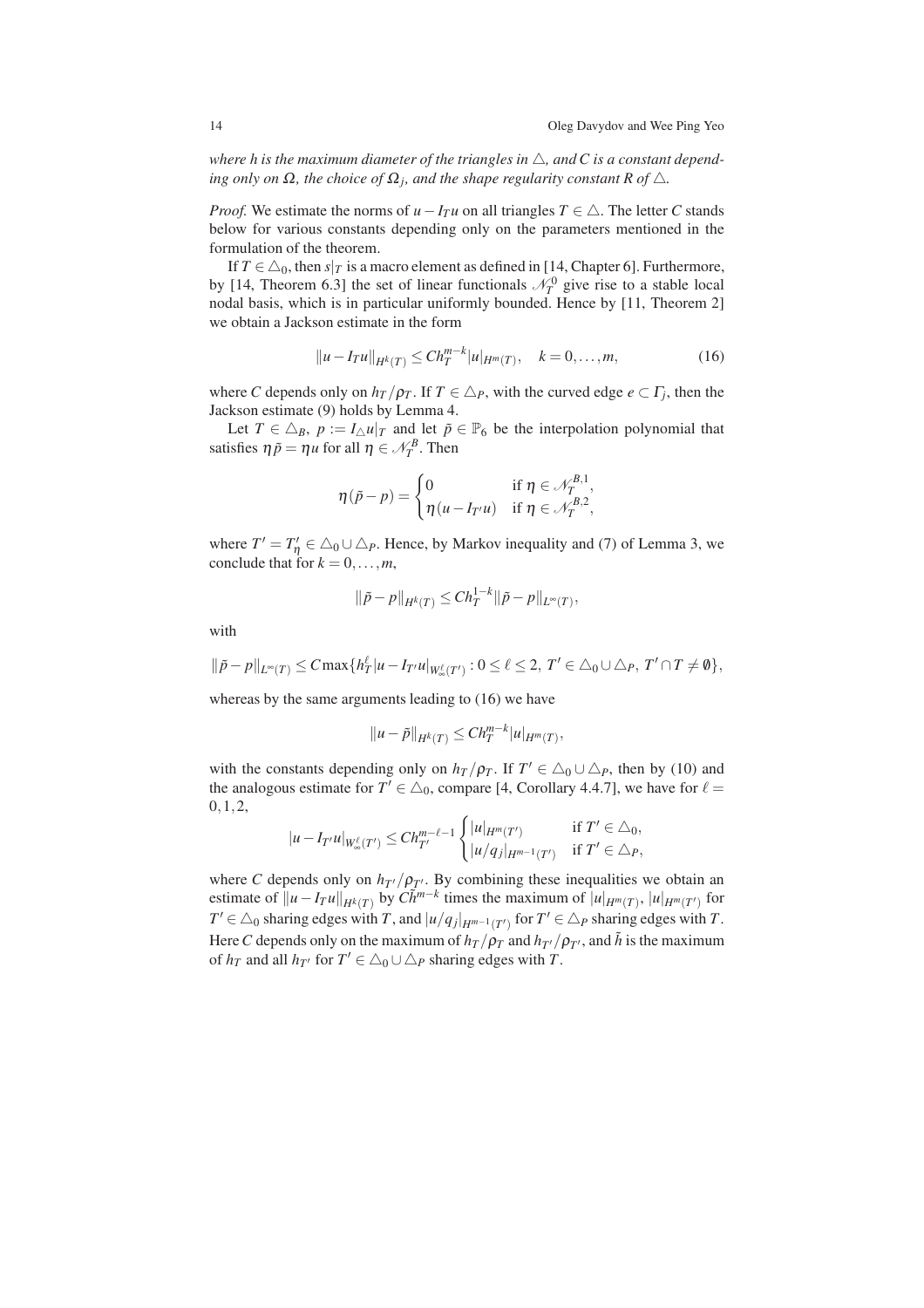where h is the maximum diameter of the triangles in  $\triangle$ , and C is a constant depend*ing only on*  $\Omega$ *, the choice of*  $\Omega$ <sub>*j</sub>, and the shape regularity constant*  $R$  *of*  $\triangle$ *.*</sub>

*Proof.* We estimate the norms of  $u - I_T u$  on all triangles  $T \in \triangle$ . The letter *C* stands below for various constants depending only on the parameters mentioned in the formulation of the theorem.

If  $T \in \triangle_0$ , then  $s|_T$  is a macro element as defined in [14, Chapter 6]. Furthermore, by [14, Theorem 6.3] the set of linear functionals  $\mathcal{N}_T^0$  give rise to a stable local nodal basis, which is in particular uniformly bounded. Hence by [11, Theorem 2] we obtain a Jackson estimate in the form

$$
||u - I_T u||_{H^k(T)} \leq Ch_T^{m-k} |u|_{H^m(T)}, \quad k = 0, \dots, m,
$$
\n(16)

where *C* depends only on  $h_T / \rho_T$ . If  $T \in \triangle_P$ , with the curved edge  $e \subset \Gamma_j$ , then the Jackson estimate (9) holds by Lemma 4.

Let  $T \in \Delta_B$ ,  $p := I_\Delta u|_T$  and let  $\tilde{p} \in \mathbb{P}_6$  be the interpolation polynomial that satisfies  $\eta \tilde{p} = \eta u$  for all  $\eta \in \mathcal{N}_T^B$ . Then

$$
\eta(\tilde{p} - p) = \begin{cases} 0 & \text{if } \eta \in \mathcal{N}_T^{B,1}, \\ \eta(u - I_{T'}u) & \text{if } \eta \in \mathcal{N}_T^{B,2}, \end{cases}
$$

where  $T' = T'_\eta \in \triangle_0 \cup \triangle_P$ . Hence, by Markov inequality and (7) of Lemma 3, we conclude that for  $k = 0, \ldots, m$ ,

$$
\|\tilde{p} - p\|_{H^k(T)} \leq Ch_T^{1-k} \|\tilde{p} - p\|_{L^\infty(T)},
$$

with

$$
\|\tilde{p}-p\|_{L^{\infty}(T)} \leq C \max\{h_T^{\ell}|u-I_{T'}u|_{W_{\infty}^{\ell}(T')} : 0 \leq \ell \leq 2, T' \in \triangle_0 \cup \triangle_P, T' \cap T \neq \emptyset\},\
$$

whereas by the same arguments leading to (16) we have

$$
||u-\tilde{p}||_{H^k(T)} \leq Ch_T^{m-k}|u|_{H^m(T)},
$$

with the constants depending only on  $h_T/\rho_T$ . If  $T' \in \triangle_0 \cup \triangle_P$ , then by (10) and the analogous estimate for  $T' \in \triangle_0$ , compare [4, Corollary 4.4.7], we have for  $\ell =$ 0,1,2,

$$
|u - I_{T'}u|_{W^{\ell}_{\infty}(T')} \leq Ch_{T'}^{m-\ell-1} \begin{cases} |u|_{H^m(T')} & \text{if } T' \in \triangle_0, \\ |u/q_j|_{H^{m-1}(T')} & \text{if } T' \in \triangle_P, \end{cases}
$$

where *C* depends only on  $h_{T'}/\rho_{T'}$ . By combining these inequalities we obtain an estimate of  $||u - I_T u||_{H^k(T)}$  by  $C\tilde{h}^{m-k}$  times the maximum of  $||u|_{H^m(T)}$ ,  $||u|_{H^m(T')}$  for *T*<sup> $′$ </sup> ∈ △<sub>0</sub> sharing edges with *T*, and  $|u/q_j|_{H^{m-1}(T')}$  for *T*<sup> $′$ </sup> ∈ △*P* sharing edges with *T*. Here *C* depends only on the maximum of  $h_T/\rho_T$  and  $h_{T'}/\rho_{T'}$ , and  $\tilde{h}$  is the maximum of  $h_T$  and all  $h_{T'}$  for  $T' \in \triangle_0 \cup \triangle_P$  sharing edges with *T*.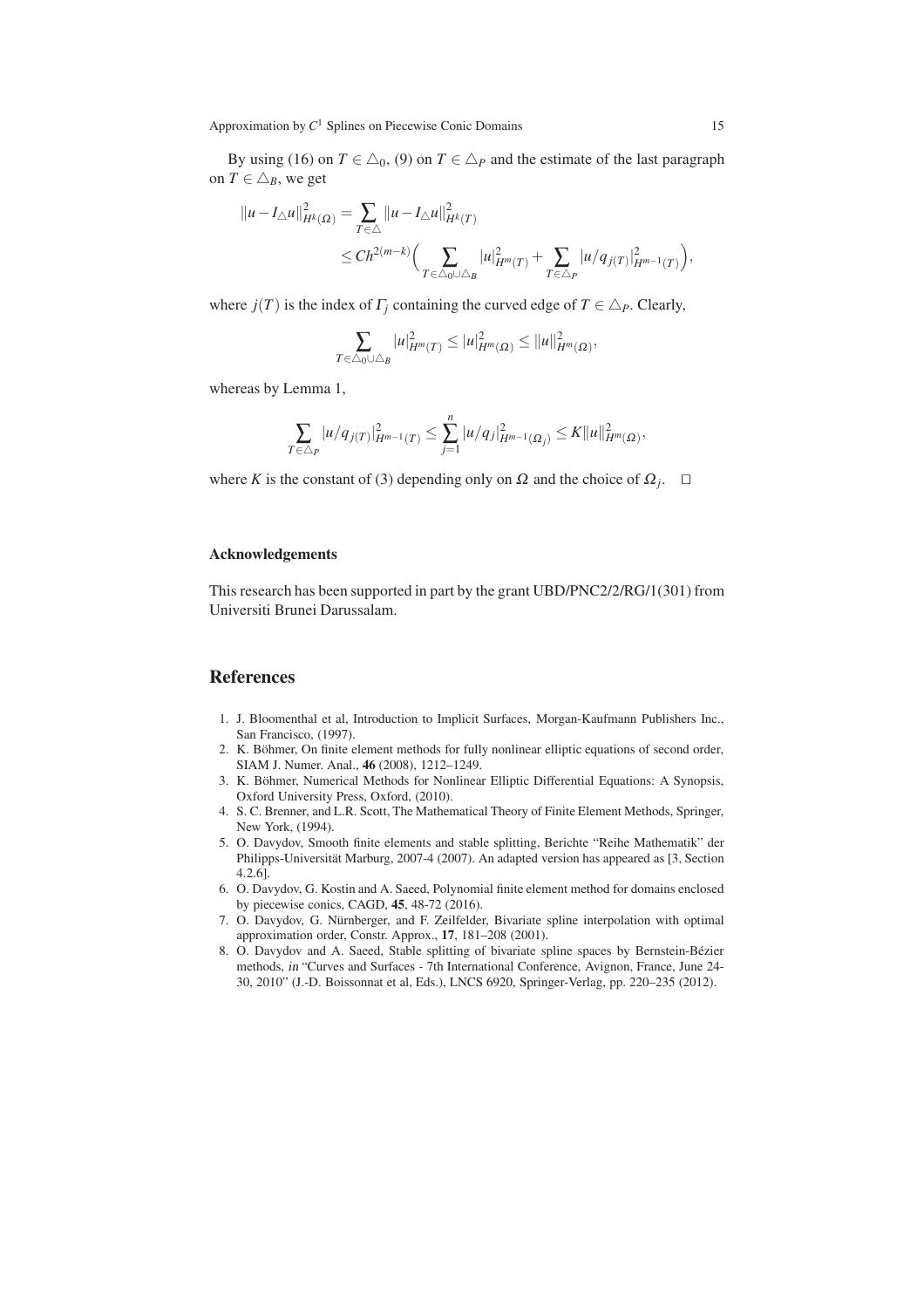By using (16) on  $T \in \Delta_0$ , (9) on  $T \in \Delta_P$  and the estimate of the last paragraph on  $T \in \triangle_B$ , we get

$$
\begin{aligned} \|u-I_{\triangle}u\|_{H^k(\Omega)}^2&=\sum_{T\in \triangle}\|u-I_{\triangle}u\|_{H^k(T)}^2\\&\le Ch^{2(m-k)}\Big(\sum_{T\in \triangle_0\cup \triangle_B}|u|_{H^m(T)}^2+\sum_{T\in \triangle_P}|u/q_{j(T)}|_{H^{m-1}(T)}^2\Big),\end{aligned}
$$

where  $j(T)$  is the index of  $\Gamma$ *j* containing the curved edge of  $T \in \Delta_P$ . Clearly,

$$
\sum_{T \in \triangle_0 \cup \triangle_B} |u|_{H^m(T)}^2 \le |u|_{H^m(\Omega)}^2 \le ||u||_{H^m(\Omega)}^2,
$$

whereas by Lemma 1,

$$
\sum_{T \in \triangle_P} |u/q_{j(T)}|_{H^{m-1}(T)}^2 \leq \sum_{j=1}^n |u/q_j|_{H^{m-1}(\Omega_j)}^2 \leq K ||u||_{H^m(\Omega)}^2,
$$

where *K* is the constant of (3) depending only on  $\Omega$  and the choice of  $\Omega_j$ . □

#### Acknowledgements

This research has been supported in part by the grant UBD/PNC2/2/RG/1(301) from Universiti Brunei Darussalam.

# References

- 1. J. Bloomenthal et al, Introduction to Implicit Surfaces, Morgan-Kaufmann Publishers Inc., San Francisco, (1997).
- 2. K. Böhmer, On finite element methods for fully nonlinear elliptic equations of second order, SIAM J. Numer. Anal., 46 (2008), 1212–1249.
- 3. K. Böhmer, Numerical Methods for Nonlinear Elliptic Differential Equations: A Synopsis, Oxford University Press, Oxford, (2010).
- 4. S. C. Brenner, and L.R. Scott, The Mathematical Theory of Finite Element Methods, Springer, New York, (1994).
- 5. O. Davydov, Smooth finite elements and stable splitting, Berichte "Reihe Mathematik" der Philipps-Universität Marburg, 2007-4 (2007). An adapted version has appeared as [3, Section 4.2.6].
- 6. O. Davydov, G. Kostin and A. Saeed, Polynomial finite element method for domains enclosed by piecewise conics, CAGD, 45, 48-72 (2016).
- 7. O. Davydov, G. Nürnberger, and F. Zeilfelder, Bivariate spline interpolation with optimal approximation order, Constr. Approx., 17, 181–208 (2001).
- 8. O. Davydov and A. Saeed, Stable splitting of bivariate spline spaces by Bernstein-Bézier methods, in "Curves and Surfaces - 7th International Conference, Avignon, France, June 24- 30, 2010" (J.-D. Boissonnat et al, Eds.), LNCS 6920, Springer-Verlag, pp. 220–235 (2012).